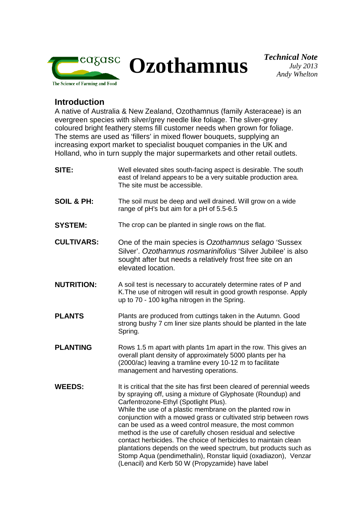

**Ozothamnus** *Technical Note*

## **Introduction**

A native of Australia & New Zealand, Ozothamnus (family Asteraceae) is an evergreen species with silver/grey needle like foliage. The sliver-grey coloured bright feathery stems fill customer needs when grown for foliage. The stems are used as 'fillers' in mixed flower bouquets, supplying an increasing export market to specialist bouquet companies in the UK and Holland, who in turn supply the major supermarkets and other retail outlets.

| Well elevated sites south-facing aspect is desirable. The south<br>east of Ireland appears to be a very suitable production area.<br>The site must be accessible.                                                                                                                                                                                                                                                                                                                                                                                                                                                                                                                                   |
|-----------------------------------------------------------------------------------------------------------------------------------------------------------------------------------------------------------------------------------------------------------------------------------------------------------------------------------------------------------------------------------------------------------------------------------------------------------------------------------------------------------------------------------------------------------------------------------------------------------------------------------------------------------------------------------------------------|
| The soil must be deep and well drained. Will grow on a wide<br>range of pH's but aim for a pH of 5.5-6.5                                                                                                                                                                                                                                                                                                                                                                                                                                                                                                                                                                                            |
| The crop can be planted in single rows on the flat.                                                                                                                                                                                                                                                                                                                                                                                                                                                                                                                                                                                                                                                 |
| One of the main species is Ozothamnus selago 'Sussex<br>Silver'. Ozothamnus rosmarinifolius 'Silver Jubilee' is also<br>sought after but needs a relatively frost free site on an<br>elevated location.                                                                                                                                                                                                                                                                                                                                                                                                                                                                                             |
| A soil test is necessary to accurately determine rates of P and<br>K. The use of nitrogen will result in good growth response. Apply<br>up to 70 - 100 kg/ha nitrogen in the Spring.                                                                                                                                                                                                                                                                                                                                                                                                                                                                                                                |
| Plants are produced from cuttings taken in the Autumn. Good<br>strong bushy 7 cm liner size plants should be planted in the late<br>Spring.                                                                                                                                                                                                                                                                                                                                                                                                                                                                                                                                                         |
| Rows 1.5 m apart with plants 1m apart in the row. This gives an<br>overall plant density of approximately 5000 plants per ha<br>(2000/ac) leaving a tramline every 10-12 m to facilitate<br>management and harvesting operations.                                                                                                                                                                                                                                                                                                                                                                                                                                                                   |
| It is critical that the site has first been cleared of perennial weeds<br>by spraying off, using a mixture of Glyphosate (Roundup) and<br>Carfentrozone-Ethyl (Spotlight Plus).<br>While the use of a plastic membrane on the planted row in<br>conjunction with a mowed grass or cultivated strip between rows<br>can be used as a weed control measure, the most common<br>method is the use of carefully chosen residual and selective<br>contact herbicides. The choice of herbicides to maintain clean<br>plantations depends on the weed spectrum, but products such as<br>Stomp Aqua (pendimethalin), Ronstar liquid (oxadiazon), Venzar<br>(Lenacil) and Kerb 50 W (Propyzamide) have label |
|                                                                                                                                                                                                                                                                                                                                                                                                                                                                                                                                                                                                                                                                                                     |